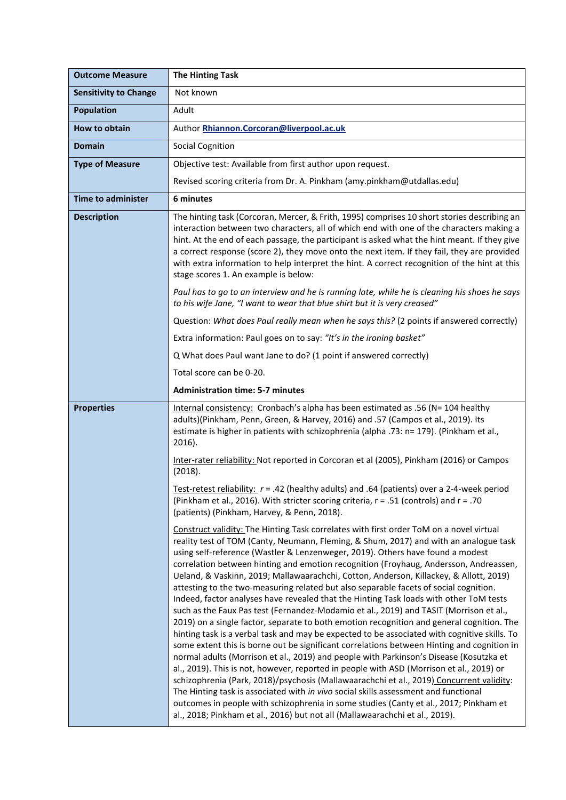| <b>Outcome Measure</b>       | <b>The Hinting Task</b>                                                                                                                                                                                                                                                                                                                                                                                                                                                                                                                                                                                                                                                                                                                                                                                                                                                                                                                                                                                                                                                                                                                                                                                                                                                                                                                                                                                                                                                                                                                                                         |
|------------------------------|---------------------------------------------------------------------------------------------------------------------------------------------------------------------------------------------------------------------------------------------------------------------------------------------------------------------------------------------------------------------------------------------------------------------------------------------------------------------------------------------------------------------------------------------------------------------------------------------------------------------------------------------------------------------------------------------------------------------------------------------------------------------------------------------------------------------------------------------------------------------------------------------------------------------------------------------------------------------------------------------------------------------------------------------------------------------------------------------------------------------------------------------------------------------------------------------------------------------------------------------------------------------------------------------------------------------------------------------------------------------------------------------------------------------------------------------------------------------------------------------------------------------------------------------------------------------------------|
| <b>Sensitivity to Change</b> | Not known                                                                                                                                                                                                                                                                                                                                                                                                                                                                                                                                                                                                                                                                                                                                                                                                                                                                                                                                                                                                                                                                                                                                                                                                                                                                                                                                                                                                                                                                                                                                                                       |
| <b>Population</b>            | Adult                                                                                                                                                                                                                                                                                                                                                                                                                                                                                                                                                                                                                                                                                                                                                                                                                                                                                                                                                                                                                                                                                                                                                                                                                                                                                                                                                                                                                                                                                                                                                                           |
| How to obtain                | Author Rhiannon.Corcoran@liverpool.ac.uk                                                                                                                                                                                                                                                                                                                                                                                                                                                                                                                                                                                                                                                                                                                                                                                                                                                                                                                                                                                                                                                                                                                                                                                                                                                                                                                                                                                                                                                                                                                                        |
| <b>Domain</b>                | <b>Social Cognition</b>                                                                                                                                                                                                                                                                                                                                                                                                                                                                                                                                                                                                                                                                                                                                                                                                                                                                                                                                                                                                                                                                                                                                                                                                                                                                                                                                                                                                                                                                                                                                                         |
| <b>Type of Measure</b>       | Objective test: Available from first author upon request.                                                                                                                                                                                                                                                                                                                                                                                                                                                                                                                                                                                                                                                                                                                                                                                                                                                                                                                                                                                                                                                                                                                                                                                                                                                                                                                                                                                                                                                                                                                       |
|                              | Revised scoring criteria from Dr. A. Pinkham (amy.pinkham@utdallas.edu)                                                                                                                                                                                                                                                                                                                                                                                                                                                                                                                                                                                                                                                                                                                                                                                                                                                                                                                                                                                                                                                                                                                                                                                                                                                                                                                                                                                                                                                                                                         |
| <b>Time to administer</b>    | 6 minutes                                                                                                                                                                                                                                                                                                                                                                                                                                                                                                                                                                                                                                                                                                                                                                                                                                                                                                                                                                                                                                                                                                                                                                                                                                                                                                                                                                                                                                                                                                                                                                       |
| <b>Description</b>           | The hinting task (Corcoran, Mercer, & Frith, 1995) comprises 10 short stories describing an<br>interaction between two characters, all of which end with one of the characters making a<br>hint. At the end of each passage, the participant is asked what the hint meant. If they give<br>a correct response (score 2), they move onto the next item. If they fail, they are provided<br>with extra information to help interpret the hint. A correct recognition of the hint at this<br>stage scores 1. An example is below:                                                                                                                                                                                                                                                                                                                                                                                                                                                                                                                                                                                                                                                                                                                                                                                                                                                                                                                                                                                                                                                  |
|                              | Paul has to go to an interview and he is running late, while he is cleaning his shoes he says<br>to his wife Jane, "I want to wear that blue shirt but it is very creased"                                                                                                                                                                                                                                                                                                                                                                                                                                                                                                                                                                                                                                                                                                                                                                                                                                                                                                                                                                                                                                                                                                                                                                                                                                                                                                                                                                                                      |
|                              | Question: What does Paul really mean when he says this? (2 points if answered correctly)                                                                                                                                                                                                                                                                                                                                                                                                                                                                                                                                                                                                                                                                                                                                                                                                                                                                                                                                                                                                                                                                                                                                                                                                                                                                                                                                                                                                                                                                                        |
|                              | Extra information: Paul goes on to say: "It's in the ironing basket"                                                                                                                                                                                                                                                                                                                                                                                                                                                                                                                                                                                                                                                                                                                                                                                                                                                                                                                                                                                                                                                                                                                                                                                                                                                                                                                                                                                                                                                                                                            |
|                              | Q What does Paul want Jane to do? (1 point if answered correctly)                                                                                                                                                                                                                                                                                                                                                                                                                                                                                                                                                                                                                                                                                                                                                                                                                                                                                                                                                                                                                                                                                                                                                                                                                                                                                                                                                                                                                                                                                                               |
|                              | Total score can be 0-20.                                                                                                                                                                                                                                                                                                                                                                                                                                                                                                                                                                                                                                                                                                                                                                                                                                                                                                                                                                                                                                                                                                                                                                                                                                                                                                                                                                                                                                                                                                                                                        |
|                              | <b>Administration time: 5-7 minutes</b>                                                                                                                                                                                                                                                                                                                                                                                                                                                                                                                                                                                                                                                                                                                                                                                                                                                                                                                                                                                                                                                                                                                                                                                                                                                                                                                                                                                                                                                                                                                                         |
| <b>Properties</b>            | Internal consistency: Cronbach's alpha has been estimated as .56 (N= 104 healthy<br>adults)(Pinkham, Penn, Green, & Harvey, 2016) and .57 (Campos et al., 2019). Its<br>estimate is higher in patients with schizophrenia (alpha .73: n= 179). (Pinkham et al.,<br>2016).                                                                                                                                                                                                                                                                                                                                                                                                                                                                                                                                                                                                                                                                                                                                                                                                                                                                                                                                                                                                                                                                                                                                                                                                                                                                                                       |
|                              | Inter-rater reliability: Not reported in Corcoran et al (2005), Pinkham (2016) or Campos<br>(2018).                                                                                                                                                                                                                                                                                                                                                                                                                                                                                                                                                                                                                                                                                                                                                                                                                                                                                                                                                                                                                                                                                                                                                                                                                                                                                                                                                                                                                                                                             |
|                              | Test-retest reliability: $r = .42$ (healthy adults) and .64 (patients) over a 2-4-week period<br>(Pinkham et al., 2016). With stricter scoring criteria, $r = .51$ (controls) and $r = .70$<br>(patients) (Pinkham, Harvey, & Penn, 2018).                                                                                                                                                                                                                                                                                                                                                                                                                                                                                                                                                                                                                                                                                                                                                                                                                                                                                                                                                                                                                                                                                                                                                                                                                                                                                                                                      |
|                              | Construct validity: The Hinting Task correlates with first order ToM on a novel virtual<br>reality test of TOM (Canty, Neumann, Fleming, & Shum, 2017) and with an analogue task<br>using self-reference (Wastler & Lenzenweger, 2019). Others have found a modest<br>correlation between hinting and emotion recognition (Froyhaug, Andersson, Andreassen,<br>Ueland, & Vaskinn, 2019; Mallawaarachchi, Cotton, Anderson, Killackey, & Allott, 2019)<br>attesting to the two-measuring related but also separable facets of social cognition.<br>Indeed, factor analyses have revealed that the Hinting Task loads with other ToM tests<br>such as the Faux Pas test (Fernandez-Modamio et al., 2019) and TASIT (Morrison et al.,<br>2019) on a single factor, separate to both emotion recognition and general cognition. The<br>hinting task is a verbal task and may be expected to be associated with cognitive skills. To<br>some extent this is borne out be significant correlations between Hinting and cognition in<br>normal adults (Morrison et al., 2019) and people with Parkinson's Disease (Kosutzka et<br>al., 2019). This is not, however, reported in people with ASD (Morrison et al., 2019) or<br>schizophrenia (Park, 2018)/psychosis (Mallawaarachchi et al., 2019) Concurrent validity:<br>The Hinting task is associated with in vivo social skills assessment and functional<br>outcomes in people with schizophrenia in some studies (Canty et al., 2017; Pinkham et<br>al., 2018; Pinkham et al., 2016) but not all (Mallawaarachchi et al., 2019). |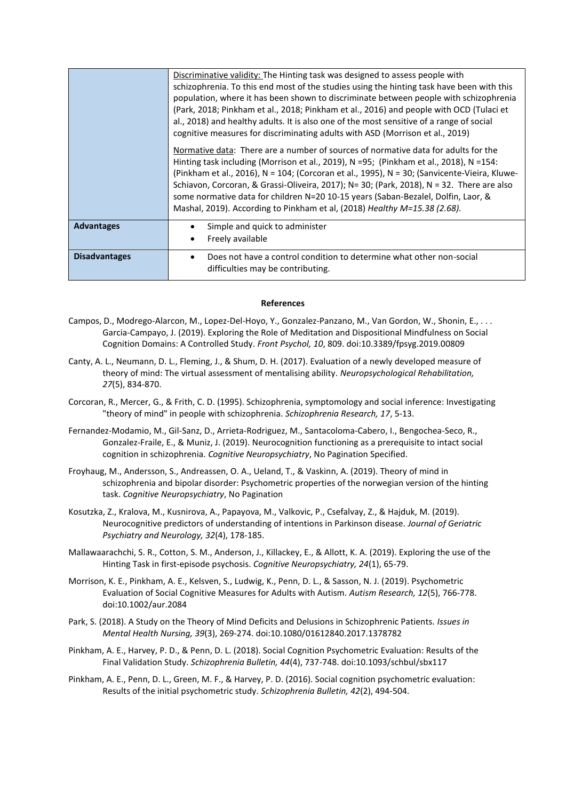|                      | Discriminative validity: The Hinting task was designed to assess people with<br>schizophrenia. To this end most of the studies using the hinting task have been with this<br>population, where it has been shown to discriminate between people with schizophrenia<br>(Park, 2018; Pinkham et al., 2018; Pinkham et al., 2016) and people with OCD (Tulaci et<br>al., 2018) and healthy adults. It is also one of the most sensitive of a range of social<br>cognitive measures for discriminating adults with ASD (Morrison et al., 2019)<br>Normative data: There are a number of sources of normative data for adults for the<br>Hinting task including (Morrison et al., 2019), N =95; (Pinkham et al., 2018), N =154: |
|----------------------|----------------------------------------------------------------------------------------------------------------------------------------------------------------------------------------------------------------------------------------------------------------------------------------------------------------------------------------------------------------------------------------------------------------------------------------------------------------------------------------------------------------------------------------------------------------------------------------------------------------------------------------------------------------------------------------------------------------------------|
|                      | (Pinkham et al., 2016), N = 104; (Corcoran et al., 1995), N = 30; (Sanvicente-Vieira, Kluwe-<br>Schiavon, Corcoran, & Grassi-Oliveira, 2017); N= 30; (Park, 2018), N = 32. There are also<br>some normative data for children N=20 10-15 years (Saban-Bezalel, Dolfin, Laor, &<br>Mashal, 2019). According to Pinkham et al, (2018) Healthy M=15.38 (2.68).                                                                                                                                                                                                                                                                                                                                                                |
| <b>Advantages</b>    | Simple and quick to administer<br>Freely available                                                                                                                                                                                                                                                                                                                                                                                                                                                                                                                                                                                                                                                                         |
| <b>Disadvantages</b> | Does not have a control condition to determine what other non-social<br>difficulties may be contributing.                                                                                                                                                                                                                                                                                                                                                                                                                                                                                                                                                                                                                  |

## **References**

- Campos, D., Modrego-Alarcon, M., Lopez-Del-Hoyo, Y., Gonzalez-Panzano, M., Van Gordon, W., Shonin, E., . . . Garcia-Campayo, J. (2019). Exploring the Role of Meditation and Dispositional Mindfulness on Social Cognition Domains: A Controlled Study. *Front Psychol, 10*, 809. doi:10.3389/fpsyg.2019.00809
- Canty, A. L., Neumann, D. L., Fleming, J., & Shum, D. H. (2017). Evaluation of a newly developed measure of theory of mind: The virtual assessment of mentalising ability. *Neuropsychological Rehabilitation, 27*(5), 834-870.
- Corcoran, R., Mercer, G., & Frith, C. D. (1995). Schizophrenia, symptomology and social inference: Investigating "theory of mind" in people with schizophrenia. *Schizophrenia Research, 17*, 5-13.
- Fernandez-Modamio, M., Gil-Sanz, D., Arrieta-Rodriguez, M., Santacoloma-Cabero, I., Bengochea-Seco, R., Gonzalez-Fraile, E., & Muniz, J. (2019). Neurocognition functioning as a prerequisite to intact social cognition in schizophrenia. *Cognitive Neuropsychiatry*, No Pagination Specified.
- Froyhaug, M., Andersson, S., Andreassen, O. A., Ueland, T., & Vaskinn, A. (2019). Theory of mind in schizophrenia and bipolar disorder: Psychometric properties of the norwegian version of the hinting task. *Cognitive Neuropsychiatry*, No Pagination
- Kosutzka, Z., Kralova, M., Kusnirova, A., Papayova, M., Valkovic, P., Csefalvay, Z., & Hajduk, M. (2019). Neurocognitive predictors of understanding of intentions in Parkinson disease. *Journal of Geriatric Psychiatry and Neurology, 32*(4), 178-185.
- Mallawaarachchi, S. R., Cotton, S. M., Anderson, J., Killackey, E., & Allott, K. A. (2019). Exploring the use of the Hinting Task in first-episode psychosis. *Cognitive Neuropsychiatry, 24*(1), 65-79.
- Morrison, K. E., Pinkham, A. E., Kelsven, S., Ludwig, K., Penn, D. L., & Sasson, N. J. (2019). Psychometric Evaluation of Social Cognitive Measures for Adults with Autism. *Autism Research, 12*(5), 766-778. doi:10.1002/aur.2084
- Park, S. (2018). A Study on the Theory of Mind Deficits and Delusions in Schizophrenic Patients. *Issues in Mental Health Nursing, 39*(3), 269-274. doi:10.1080/01612840.2017.1378782
- Pinkham, A. E., Harvey, P. D., & Penn, D. L. (2018). Social Cognition Psychometric Evaluation: Results of the Final Validation Study. *Schizophrenia Bulletin, 44*(4), 737-748. doi:10.1093/schbul/sbx117
- Pinkham, A. E., Penn, D. L., Green, M. F., & Harvey, P. D. (2016). Social cognition psychometric evaluation: Results of the initial psychometric study. *Schizophrenia Bulletin, 42*(2), 494-504.